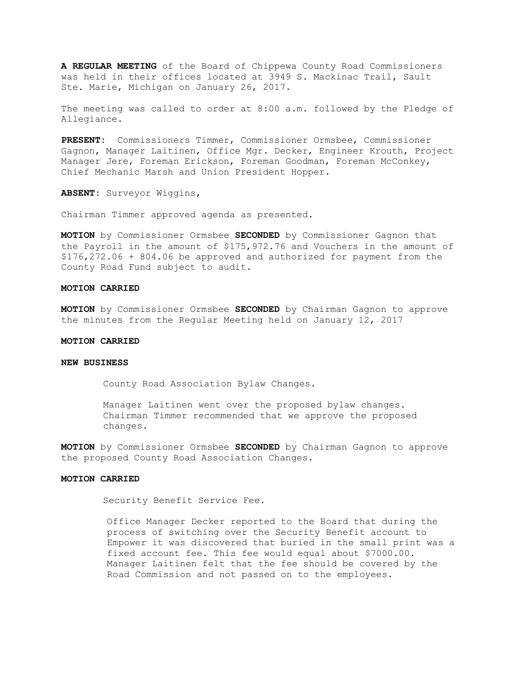**A REGULAR MEETING** of the Board of Chippewa County Road Commissioners was held in their offices located at 3949 S. Mackinac Trail, Sault Ste. Marie, Michigan on January 26, 2017.

The meeting was called to order at 8:00 a.m. followed by the Pledge of Allegiance.

**PRESENT:** Commissioners Timmer, Commissioner Ormsbee, Commissioner Gagnon, Manager Laitinen, Office Mgr. Decker, Engineer Krouth, Project Manager Jere, Foreman Erickson, Foreman Goodman, Foreman McConkey, Chief Mechanic Marsh and Union President Hopper.

**ABSENT:** Surveyor Wiggins,

Chairman Timmer approved agenda as presented.

**MOTION** by Commissioner Ormsbee **SECONDED** by Commissioner Gagnon that the Payroll in the amount of \$175,972.76 and Vouchers in the amount of \$176,272.06 + 804.06 be approved and authorized for payment from the County Road Fund subject to audit.

#### **MOTION CARRIED**

**MOTION** by Commissioner Ormsbee **SECONDED** by Chairman Gagnon to approve the minutes from the Regular Meeting held on January 12, 2017

# **MOTION CARRIED**

# **NEW BUSINESS**

County Road Association Bylaw Changes.

Manager Laitinen went over the proposed bylaw changes. Chairman Timmer recommended that we approve the proposed changes.

**MOTION** by Commissioner Ormsbee **SECONDED** by Chairman Gagnon to approve the proposed County Road Association Changes.

## **MOTION CARRIED**

Security Benefit Service Fee.

Office Manager Decker reported to the Board that during the process of switching over the Security Benefit account to Empower it was discovered that buried in the small print was a fixed account fee. This fee would equal about \$7000.00. Manager Laitinen felt that the fee should be covered by the Road Commission and not passed on to the employees.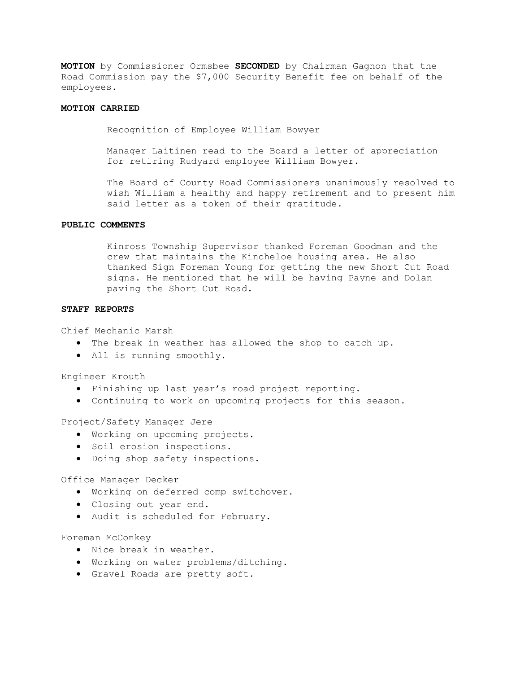**MOTION** by Commissioner Ormsbee **SECONDED** by Chairman Gagnon that the Road Commission pay the \$7,000 Security Benefit fee on behalf of the employees.

## **MOTION CARRIED**

Recognition of Employee William Bowyer

Manager Laitinen read to the Board a letter of appreciation for retiring Rudyard employee William Bowyer.

The Board of County Road Commissioners unanimously resolved to wish William a healthy and happy retirement and to present him said letter as a token of their gratitude.

### **PUBLIC COMMENTS**

Kinross Township Supervisor thanked Foreman Goodman and the crew that maintains the Kincheloe housing area. He also thanked Sign Foreman Young for getting the new Short Cut Road signs. He mentioned that he will be having Payne and Dolan paving the Short Cut Road.

### **STAFF REPORTS**

Chief Mechanic Marsh

- · The break in weather has allowed the shop to catch up.
- · All is running smoothly.

Engineer Krouth

- · Finishing up last year's road project reporting.
- · Continuing to work on upcoming projects for this season.

Project/Safety Manager Jere

- · Working on upcoming projects.
- · Soil erosion inspections.
- · Doing shop safety inspections.

Office Manager Decker

- · Working on deferred comp switchover.
- · Closing out year end.
- · Audit is scheduled for February.

Foreman McConkey

- · Nice break in weather.
- · Working on water problems/ditching.
- · Gravel Roads are pretty soft.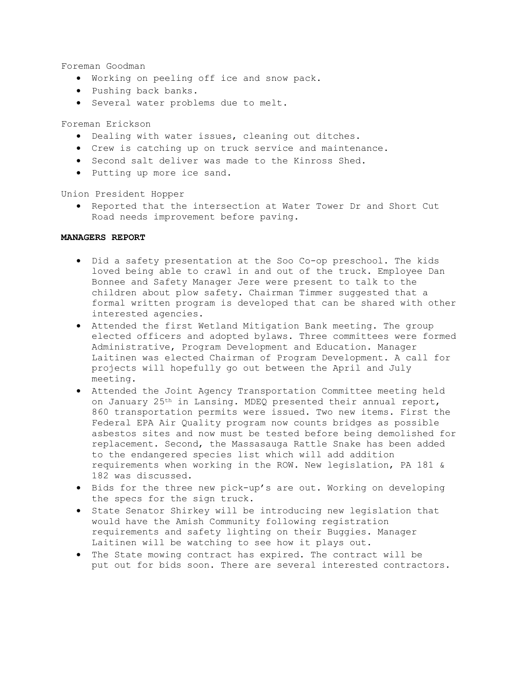Foreman Goodman

- · Working on peeling off ice and snow pack.
- · Pushing back banks.
- · Several water problems due to melt.

Foreman Erickson

- · Dealing with water issues, cleaning out ditches.
- · Crew is catching up on truck service and maintenance.
- · Second salt deliver was made to the Kinross Shed.
- · Putting up more ice sand.

Union President Hopper

· Reported that the intersection at Water Tower Dr and Short Cut Road needs improvement before paving.

## **MANAGERS REPORT**

- · Did a safety presentation at the Soo Co-op preschool. The kids loved being able to crawl in and out of the truck. Employee Dan Bonnee and Safety Manager Jere were present to talk to the children about plow safety. Chairman Timmer suggested that a formal written program is developed that can be shared with other interested agencies.
- · Attended the first Wetland Mitigation Bank meeting. The group elected officers and adopted bylaws. Three committees were formed Administrative, Program Development and Education. Manager Laitinen was elected Chairman of Program Development. A call for projects will hopefully go out between the April and July meeting.
- · Attended the Joint Agency Transportation Committee meeting held on January 25th in Lansing. MDEQ presented their annual report, 860 transportation permits were issued. Two new items. First the Federal EPA Air Quality program now counts bridges as possible asbestos sites and now must be tested before being demolished for replacement. Second, the Massasauga Rattle Snake has been added to the endangered species list which will add addition requirements when working in the ROW. New legislation, PA 181 & 182 was discussed.
- · Bids for the three new pick-up's are out. Working on developing the specs for the sign truck.
- · State Senator Shirkey will be introducing new legislation that would have the Amish Community following registration requirements and safety lighting on their Buggies. Manager Laitinen will be watching to see how it plays out.
- · The State mowing contract has expired. The contract will be put out for bids soon. There are several interested contractors.